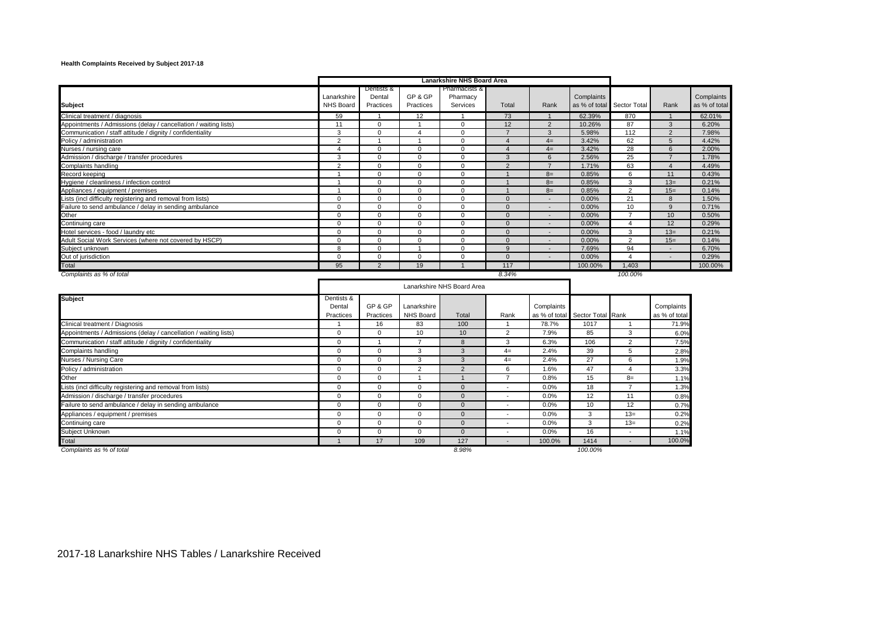## **Health Complaints Received by Subject 2017-18**

| <b>Subject</b>                                                   | Lanarkshire<br><b>NHS Board</b>   | Dentists &<br>Dental<br>Practices | GP & GP<br>Practices     | Pharmacists &<br>Pharmacy<br>Services | Total                    | Rank                        | Complaints<br>as % of total | Sector Total   | Rank                        | Complaints<br>as % of total |
|------------------------------------------------------------------|-----------------------------------|-----------------------------------|--------------------------|---------------------------------------|--------------------------|-----------------------------|-----------------------------|----------------|-----------------------------|-----------------------------|
| Clinical treatment / diagnosis                                   | 59                                | $\overline{1}$                    | 12                       | $\overline{1}$                        | 73                       | $\overline{1}$              | 62.39%                      | 870            | $\overline{1}$              | 62.01%                      |
| Appointments / Admissions (delay / cancellation / waiting lists) | 11                                | $\Omega$                          | $\overline{1}$           | $\mathbf 0$                           | 12                       | $\overline{2}$              | 10.26%                      | 87             | $\mathbf{3}$                | 6.20%                       |
| Communication / staff attitude / dignity / confidentiality       | 3                                 | $\Omega$                          | $\overline{4}$           | $\Omega$                              | $\overline{7}$           | 3                           | 5.98%                       | 112            | $\overline{2}$              | 7.98%                       |
| Policy / administration                                          | $\overline{2}$                    | -1                                | $\overline{1}$           | $\Omega$                              | $\overline{4}$           | $4=$                        | 3.42%                       | 62             | $5\phantom{.0}$             | 4.42%                       |
| Nurses / nursing care                                            | $\overline{4}$                    | $\Omega$                          | $\Omega$                 | $\Omega$                              | $\overline{4}$           | $4=$                        | 3.42%                       | 28             | $6\phantom{1}$              | 2.00%                       |
| Admission / discharge / transfer procedures                      | 3                                 | $\Omega$                          | $\Omega$                 | $\Omega$                              | 3                        | 6                           | 2.56%                       | 25             | $\overline{7}$              | 1.78%                       |
| Complaints handling                                              | $\overline{2}$                    | $\Omega$                          | $\Omega$                 | $\Omega$                              | $\overline{2}$           | $\overline{7}$              | 1.71%                       | 63             | $\overline{4}$              | 4.49%                       |
| Record keeping                                                   | $\overline{1}$                    | $\Omega$                          | $\mathbf{0}$             | $\Omega$                              | $\mathbf{1}$             | $8=$                        | 0.85%                       | 6              | 11                          | 0.43%                       |
| Hygiene / cleanliness / infection control                        | $\mathbf{1}$                      | $\Omega$                          | $\mathbf 0$              | $\mathbf 0$                           | $\overline{1}$           | $8=$                        | 0.85%                       | 3              | $13=$                       | 0.21%                       |
| Appliances / equipment / premises                                | 1                                 | $\Omega$                          | $\mathbf 0$              | $\mathbf 0$                           |                          | $8=$                        | 0.85%                       | 2              | $15=$                       | 0.14%                       |
| Lists (incl difficulty registering and removal from lists)       | $\Omega$                          | $\Omega$                          | $\mathbf{0}$             | $\mathbf{0}$                          | $\mathbf{0}$             | $\overline{a}$              | 0.00%                       | 21             | 8                           | 1.50%                       |
| Failure to send ambulance / delay in sending ambulance           | $\Omega$                          | $\Omega$                          | $\mathbf{0}$             | $\mathbf 0$                           | $\mathbf{0}$             |                             | 0.00%                       | 10             | 9                           | 0.71%                       |
| Other                                                            | $\Omega$                          | $\Omega$                          | $\Omega$                 | $\Omega$                              | $\Omega$                 |                             | 0.00%                       | $\overline{7}$ | 10                          | 0.50%                       |
| Continuing care                                                  | $\Omega$                          | $\Omega$                          | $\mathbf 0$              | $\Omega$                              | $\mathbf{0}$             | $\overline{\phantom{a}}$    | 0.00%                       | 4              | 12                          | 0.29%                       |
| Hotel services - food / laundry etc                              | $\Omega$                          | $\Omega$                          | $\Omega$                 | $\Omega$                              | $\Omega$                 |                             | 0.00%                       | 3              | $13=$                       | 0.21%                       |
| Adult Social Work Services (where not covered by HSCP)           | $\Omega$                          | $\Omega$                          | $\mathbf{0}$             | $\Omega$                              | $\mathbf{0}$             | $\overline{\phantom{a}}$    | 0.00%                       | 2              | $15=$                       | 0.14%                       |
| Subject unknown                                                  | 8                                 | $\Omega$                          | $\overline{1}$           | $\Omega$                              | 9                        | $\overline{\phantom{a}}$    | 7.69%                       | 94             | $\sim$                      | 6.70%                       |
| Out of jurisdiction                                              | $\mathbf 0$                       | $\mathbf 0$                       | $\mathbf 0$              | $\mathbf 0$                           | $\mathbf{0}$             | $\overline{\phantom{a}}$    | 0.00%                       | $\overline{4}$ | $\overline{\phantom{a}}$    | 0.29%                       |
| Total                                                            | 95                                | 2                                 | 19                       | $\overline{1}$                        | 117                      |                             | 100.00%                     | 1,403          |                             | 100.00%                     |
| Complaints as % of total                                         |                                   |                                   |                          |                                       | 8.34%                    |                             |                             | 100.00%        |                             |                             |
|                                                                  |                                   |                                   |                          | Lanarkshire NHS Board Area            |                          |                             |                             |                |                             |                             |
| <b>Subject</b>                                                   | Dentists &<br>Dental<br>Practices | GP & GP<br>Practices              | Lanarkshire<br>NHS Board | Total                                 | Rank                     | Complaints<br>as % of total | Sector Total Rank           |                | Complaints<br>as % of total |                             |
| Clinical treatment / Diagnosis                                   | $\mathbf{1}$                      | 16                                | 83                       | 100                                   | $\mathbf{1}$             | 78.7%                       | 1017                        | $\overline{1}$ | 71.9%                       |                             |
| Appointments / Admissions (delay / cancellation / waiting lists) | $\Omega$                          | $\Omega$                          | 10                       | 10                                    | $\overline{2}$           | 7.9%                        | 85                          | 3              | 6.0%                        |                             |
| Communication / staff attitude / dignity / confidentiality       | $\Omega$                          | $\overline{1}$                    | $\overline{7}$           | 8                                     | 3                        | 6.3%                        | 106                         | $\overline{2}$ | 7.5%                        |                             |
| Complaints handling                                              | $\mathbf 0$                       | $\mathbf 0$                       | 3                        | 3                                     | $4=$                     | 2.4%                        | 39                          | 5              | 2.8%                        |                             |
| Nurses / Nursing Care                                            | $\Omega$                          | $\Omega$                          | 3                        | 3                                     | $4-$                     | 2.4%                        | 27                          | 6              | 1.9%                        |                             |
| Policy / administration                                          | $\mathbf 0$                       | $\Omega$                          | $\overline{2}$           | $\overline{2}$                        | 6                        | 1.6%                        | 47                          | 4              | 3.3%                        |                             |
| Other                                                            | $\Omega$                          | $\Omega$                          | $\overline{1}$           | $\overline{1}$                        | $\overline{7}$           | 0.8%                        | 15                          | $8=$           | 1.1%                        |                             |
| Lists (incl difficulty registering and removal from lists)       | $\mathbf 0$                       | $\Omega$                          | $\mathbf{0}$             | $\Omega$                              | $\overline{\phantom{a}}$ | 0.0%                        | 18                          | $\overline{7}$ | 1.3%                        |                             |
| Admission / discharge / transfer procedures                      | $\mathbf 0$                       | $\Omega$                          | $\mathbf 0$              | $\mathbf{0}$                          | $\overline{\phantom{a}}$ | 0.0%                        | 12                          | 11             | 0.8%                        |                             |
| Failure to send ambulance / delay in sending ambulance           | $\mathbf 0$                       | $\Omega$                          | $\mathbf 0$              | $\Omega$                              | $\overline{\phantom{a}}$ | 0.0%                        | 10                          | 12             | 0.7%                        |                             |
| Appliances / equipment / premises                                | $\Omega$                          | $\Omega$                          | $\mathbf 0$              | $\mathbf{0}$                          | $\overline{a}$           | 0.0%                        | 3                           | $13=$          | 0.2%                        |                             |
| Continuing care                                                  | $\mathbf 0$                       | $\mathbf 0$                       | $\mathbf 0$              | $\mathbf{0}$                          |                          | 0.0%                        | 3                           | $13=$          | 0.2%                        |                             |
| Subject Unknown                                                  | $\mathbf 0$                       | $\Omega$                          | $\mathbf{0}$             | $\Omega$                              | $\sim$                   | 0.0%                        | 16                          | ÷              | 1.1%                        |                             |
| Total                                                            | $\overline{1}$                    | 17                                | 109                      | 127                                   |                          | 100.0%                      | 1414                        |                | 100.0%                      |                             |
| Complaints as % of total                                         |                                   |                                   |                          | 8.98%                                 |                          |                             | 100.00%                     |                |                             |                             |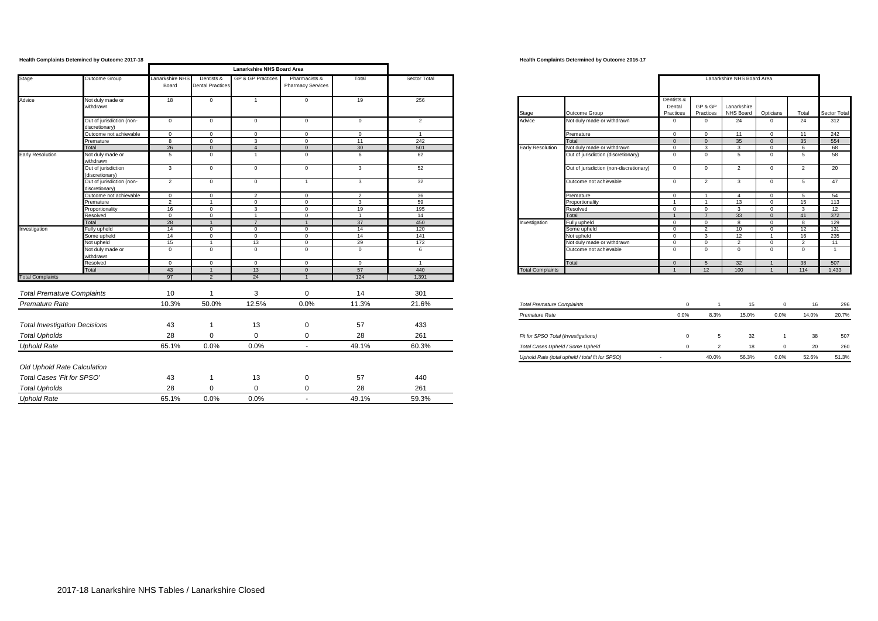|                                      | <b>Health Complaints Detemined by Outcome 2017-18</b> |                          |                                       |                                   |                                           |                |                |                                     | <b>Health Complaints Determined by Outcome 2016-17</b> |                      |                |                            |                |                |                |
|--------------------------------------|-------------------------------------------------------|--------------------------|---------------------------------------|-----------------------------------|-------------------------------------------|----------------|----------------|-------------------------------------|--------------------------------------------------------|----------------------|----------------|----------------------------|----------------|----------------|----------------|
|                                      |                                                       |                          |                                       | <b>Lanarkshire NHS Board Area</b> |                                           |                |                |                                     |                                                        |                      |                |                            |                |                |                |
| Stage                                | Outcome Group                                         | Lanarkshire NHS<br>Board | Dentists &<br><b>Dental Practices</b> | GP & GP Practices                 | Pharmacists &<br><b>Pharmacy Services</b> | Total          | Sector Total   |                                     |                                                        |                      |                | Lanarkshire NHS Board Area |                |                |                |
| Advice                               | Not duly made or<br>withdrawn                         | 18                       | $\Omega$                              |                                   | $\mathbf 0$                               | 19             | 256            |                                     |                                                        | Dentists &<br>Dental | GP&GP          | Lanarkshire                |                |                |                |
|                                      |                                                       |                          |                                       |                                   |                                           |                |                | Stage                               | Outcome Group                                          | Practices            | Practices      | NHS Board                  | Opticians      | Total          | Sector Total   |
|                                      | Out of jurisdiction (non-<br>liscretionary)           | $\overline{0}$           | $\overline{0}$                        | $\mathbf 0$                       | $\mathbf{0}$                              | $\mathbf{0}$   | 2              | Advice                              | Not duly made or withdrawn                             | $^{\circ}$           | $\overline{0}$ | 24                         | $\mathbf{0}$   | 24             | 312            |
|                                      | Outcome not achievable                                | $\overline{0}$           | $\Omega$                              | $\Omega$                          | $\Omega$                                  | $\Omega$       | $\overline{1}$ |                                     | Premature                                              | $\Omega$             | $\Omega$       | 11                         | $\Omega$       | 11             | 242            |
|                                      | Premature                                             | $^{\circ}$               | $\Omega$                              | $\mathbf{3}$                      | $\Omega$                                  | 11             | 242            |                                     | Total                                                  | $\Omega$             | $\Omega$       | 35                         | $\Omega$       | 35             | 554            |
|                                      | Total                                                 | 26                       | $\Omega$                              | $\overline{4}$                    | $\Omega$                                  | 30             | 501            | Early Resolution                    | Not duly made or withdrawn                             | $\Omega$             | $\mathbf{3}$   | $\mathbf{3}$               | $\overline{0}$ | - 6            | 68             |
| <b>Early Resolution</b>              | Not duly made or<br>withdrawn                         | 5                        | $\Omega$                              |                                   | $\mathbf 0$                               | 6              | 62             |                                     | Out of jurisdiction (discretionary)                    | $\overline{0}$       | $\mathbf{0}$   | 5                          | $^{\circ}$     | 5              | 58             |
|                                      | Out of jurisdiction<br>(discretionary)                | $\mathbf{3}$             | $\overline{0}$                        | $\overline{0}$                    | $\mathbf 0$                               | $\overline{3}$ | 52             |                                     | Out of jurisdiction (non-discretionary)                | $^{\circ}$           | $\overline{0}$ | $\overline{2}$             | $\mathbf 0$    | $\overline{2}$ | 20             |
|                                      | Out of jurisdiction (non-<br>discretionary)           | 2                        | $\overline{0}$                        | $\overline{0}$                    | $\overline{1}$                            | $\overline{3}$ | 32             |                                     | Outcome not achievable                                 | $\overline{0}$       | $\overline{2}$ | $\mathbf{3}$               | $^{\circ}$     | 5              | 47             |
|                                      | Outcome not achievable                                | $\overline{0}$           | $\overline{0}$                        | 2                                 | $\overline{0}$                            | 2              | 36             |                                     | Premature                                              | $\overline{0}$       | $\overline{1}$ | $\overline{4}$             | $\overline{0}$ | 5              | 54             |
|                                      | Premature                                             | $\overline{2}$           | $\overline{1}$                        | $\overline{0}$                    | $\Omega$                                  | $\mathbf{3}$   | 59             |                                     | Proportionality                                        | $\overline{1}$       | $\overline{1}$ | 13                         | $\Omega$       | 15             | 113            |
|                                      | Proportionality                                       | 16                       | $\Omega$                              | $\mathbf{3}$                      | $\circ$                                   | 19             | 195            |                                     | Resolved                                               | $\Omega$             | $\overline{0}$ | $\mathbf{3}$               | $\overline{0}$ | $\mathbf{3}$   | 12             |
|                                      | Resolved                                              | $\overline{0}$           | $\Omega$                              | $\overline{1}$                    | $^{\circ}$                                | $\overline{1}$ | 14             |                                     | Total                                                  | $\overline{1}$       | $\overline{7}$ | 33                         | $\overline{0}$ | 41             | 372            |
|                                      | Total                                                 | 28                       | $\overline{1}$                        | $\overline{7}$                    | $\overline{1}$                            | 37             | 450            | Investigation                       | Fully upheld                                           | $\overline{0}$       | $\overline{0}$ | 8                          | $\overline{0}$ | 8              | 129            |
| Investigation                        | Fully upheld                                          | 14                       | $\Omega$                              | $\Omega$                          | $\Omega$                                  | 14             | 120            |                                     | Some upheld                                            | $\Omega$             | $\overline{2}$ | 10 <sup>1</sup>            | $\Omega$       | 12             | 131            |
|                                      | Some upheld                                           | 14                       | $\Omega$                              | $\overline{0}$                    | $\mathbf{0}$                              | 14             | 141            |                                     | Not upheld                                             | $\overline{0}$       | $\mathbf{3}$   | 12                         | $\overline{1}$ | 16             | 235            |
|                                      | Not upheld                                            | 15                       | $\overline{1}$                        | 13                                | $\mathbf{0}$                              | 29             | 172            |                                     | Not duly made or withdrawn                             | $\overline{0}$       | $\circ$        | $\overline{2}$             | $\overline{0}$ | $\overline{2}$ | 11             |
|                                      | Not duly made or<br>withdrawn                         | $\overline{0}$           | $\overline{0}$                        | $\mathbf{0}$                      | $\mathbf{0}$                              | $\mathbf{0}$   | 6              |                                     | Outcome not achievable                                 | $\overline{0}$       | $\mathbf{0}$   | $\overline{0}$             | $\overline{0}$ | $\overline{0}$ | $\overline{1}$ |
|                                      | Resolved                                              | $\overline{0}$           | $\Omega$                              | $\overline{0}$                    | $\mathbf{0}$                              | $\mathbf{0}$   | $\overline{1}$ |                                     | Total                                                  | $\Omega$             | -5             | 32                         |                | 38             | 507            |
|                                      | Total                                                 | 43                       |                                       | 13                                | $\Omega$                                  | 57             | 440            | <b>Total Complaints</b>             |                                                        |                      | 12             | 100                        |                | 114            | 1,433          |
| <b>Total Complaints</b>              |                                                       | 97                       | $\overline{2}$                        | 24                                | $\overline{1}$                            | 124            | 1,391          |                                     |                                                        |                      |                |                            |                |                |                |
| <b>Total Premature Complaints</b>    |                                                       | 10                       |                                       | 3                                 | $\Omega$                                  | 14             | 301            |                                     |                                                        |                      |                |                            |                |                |                |
| <b>Premature Rate</b>                |                                                       | 10.3%                    | 50.0%                                 | 12.5%                             | 0.0%                                      | 11.3%          | 21.6%          | <b>Total Premature Complaints</b>   |                                                        | $\mathbf{0}$         | $\overline{1}$ | 15                         | $\mathbf{0}$   | 16             | 296            |
|                                      |                                                       |                          |                                       |                                   |                                           |                |                | Premature Rate                      |                                                        | 0.0%                 | 8.3%           | 15.0%                      | 0.0%           | 14.0%          | 20.7%          |
| <b>Total Investigation Decisions</b> |                                                       | 43                       |                                       | 13                                | 0                                         | 57             | 433            |                                     |                                                        |                      |                |                            |                |                |                |
| <b>Total Upholds</b>                 |                                                       | 28                       | $\Omega$                              | $\mathbf{0}$                      | 0                                         | 28             | 261            | Fit for SPSO Total (Investigations) |                                                        | $\Omega$             | 5              | 32                         |                | 38             | 507            |
| <b>Uphold Rate</b>                   |                                                       | 65.1%                    | 0.0%                                  | 0.0%                              | $\sim$                                    | 49.1%          | 60.3%          | Total Cases Upheld / Some Upheld    |                                                        | $\mathbf{0}$         | $\overline{2}$ | 18                         | $\mathbf{0}$   | 20             | 260            |
|                                      |                                                       |                          |                                       |                                   |                                           |                |                |                                     | Uphold Rate (total upheld / total fit for SPSO)        | $\sim$               | 40.0%          | 56.3%                      | 0.0%           | 52.6%          | 51.3%          |
| Old Uphold Rate Calculation          |                                                       |                          |                                       |                                   |                                           |                |                |                                     |                                                        |                      |                |                            |                |                |                |
| Total Cases 'Fit for SPSO'           |                                                       | 43                       | -1                                    | 13                                | 0                                         | 57             | 440            |                                     |                                                        |                      |                |                            |                |                |                |
| <b>Total Upholds</b>                 |                                                       | 28                       | $\Omega$                              | $\mathbf 0$                       | $\Omega$                                  | 28             | 261            |                                     |                                                        |                      |                |                            |                |                |                |
| <b>Uphold Rate</b>                   |                                                       | 65.1%                    | 0.0%                                  | 0.0%                              | $\sim$                                    | 49.1%          | 59.3%          |                                     |                                                        |                      |                |                            |                |                |                |

**Health Complaints Detemined by Outcome 2017-18 Health Complaints Determined by Outcome 2016-17**

| hire NHS<br>ard | Dentists &<br><b>Dental Practices</b> | GP & GP Practices | Pharmacists &<br><b>Pharmacy Services</b> | Total           | Sector Total |                         |                                         |                                   |                      | Lanarkshire NHS Board Area |                |                |              |
|-----------------|---------------------------------------|-------------------|-------------------------------------------|-----------------|--------------|-------------------------|-----------------------------------------|-----------------------------------|----------------------|----------------------------|----------------|----------------|--------------|
| 81              | $^{\circ}$                            |                   | <sup>0</sup>                              | 19              | 256          | Stage                   | Outcome Group                           | Dentists &<br>Dental<br>Practices | GP & GP<br>Practices | Lanarkshire<br>NHS Board   | Opticians      | Total          | Sector Total |
| n               | $\mathbf{0}$                          | $\Omega$          | <sup>n</sup>                              | $\Omega$        | 2            | Advice                  | Not duly made or withdrawn              |                                   |                      | 24                         | $^{\circ}$     | 24             | 312          |
|                 | $\Omega$                              | $\Omega$          | $\Omega$                                  | $\Omega$        |              |                         | Premature                               | $\Omega$                          | $\Omega$             | 11                         | $\Omega$       | 11             | 242          |
|                 | $\Omega$                              | 3                 | $\Omega$                                  | 11              | 242          |                         | Total                                   | $\Omega$                          |                      | 35                         | $\overline{0}$ | 35             | 554          |
| 26              | $\Omega$                              |                   | $\Omega$                                  | 30 <sup>2</sup> | 501          | <b>Early Resolution</b> | Not duly made or withdrawn              | $\Omega$                          | $\mathbf{a}$         | 3                          | $\Omega$       | 6              | 68           |
|                 | $\Omega$                              |                   | <sup>n</sup>                              |                 | 62           |                         | Out of jurisdiction (discretionary)     | $\Omega$                          |                      | 5                          | $\Omega$       | 5              | 58           |
|                 | $\mathbf{0}$                          | $\mathbf{0}$      | $\Omega$                                  | 3               | 52           |                         | Out of jurisdiction (non-discretionary) | $\Omega$                          | $\Omega$             | 2                          | $^{\circ}$     | $\overline{2}$ | 20           |
|                 | $\mathbf{0}$                          | $\mathbf{0}$      |                                           | 3               | 32           |                         | Outcome not achievable                  | $\Omega$                          | $\overline{2}$       | 3                          | $\Omega$       | 5              | 47           |
|                 | $\Omega$                              | $\overline{2}$    | $\Omega$                                  | $\overline{2}$  | 36           |                         | Premature                               | $\sqrt{2}$                        |                      |                            | $\Omega$       | -5             | 54           |
|                 |                                       | $\mathbf{0}$      | $\Omega$                                  | 3               | 59           |                         | Proportionality                         |                                   |                      | 13                         | $^{\circ}$     | 15             | 113          |
| 16              | $\Omega$                              | $\mathbf{3}$      | $\Omega$                                  | 19              | 195          |                         | Resolved                                | $\sim$                            |                      | 3                          | $\Omega$       | 3              | 12           |
|                 | $\Omega$                              |                   | $\Omega$                                  |                 | 14           |                         | Total                                   |                                   |                      | 33                         | $\Omega$       | 41             | 372          |
| 28              |                                       | <u>т</u>          |                                           | 37              | 450          | Investigation           | Fully upheld                            |                                   |                      | 8                          | $\Omega$       | 8              | 129          |
|                 | $\Omega$                              | $\Omega$          | $\Omega$                                  | 14              | 120          |                         | Some upheld                             | $\Omega$                          | $\sim$               | 10                         | $\Omega$       | 12             | 131          |
|                 | $\Omega$                              | $^{\circ}$        | $\Omega$                                  | 14              | 141          |                         | Not upheld                              | $\sim$                            | 3                    | 12                         |                | 16             | 235          |
| 15              |                                       | 13                | $\Omega$                                  | 29              | 172          |                         | Not duly made or withdrawn              | $\Omega$                          | $\sim$               | $\overline{2}$             | $\Omega$       | $\overline{2}$ | 11           |
|                 | $\Omega$                              | $\Omega$          | $\Omega$                                  | $\Omega$        | 6            |                         | Outcome not achievable                  | $\Omega$                          |                      | $\Omega$                   | $\Omega$       | $\Omega$       |              |
|                 | $\Omega$                              | $\Omega$          | $\Omega$                                  | $\Omega$        |              |                         | Total                                   |                                   | 5                    | 32                         |                | 38             | 507          |
| 13 <sup>1</sup> |                                       | 13                | $\Omega$                                  | 57              | 440          | <b>Total Complaints</b> |                                         |                                   | 12                   | 100                        |                | 114            | 1,433        |

| <b>Total Premature Complaints</b>               | $\Omega$                 |       | 15    |      | 16    | 296   |
|-------------------------------------------------|--------------------------|-------|-------|------|-------|-------|
| Premature Rate                                  | 0.0%                     | 8.3%  | 15.0% | 0.0% | 14.0% | 20.7% |
|                                                 |                          |       |       |      |       |       |
| Fit for SPSO Total (Investigations)             | $\Omega$                 | 5     | 32    |      | 38    | 507   |
| Total Cases Upheld / Some Upheld                | $\Omega$                 |       | 18    |      | 20    | 260   |
| Uphold Rate (total upheld / total fit for SPSO) | $\overline{\phantom{0}}$ | 40.0% | 56.3% | 0.0% | 52.6% | 51.3% |